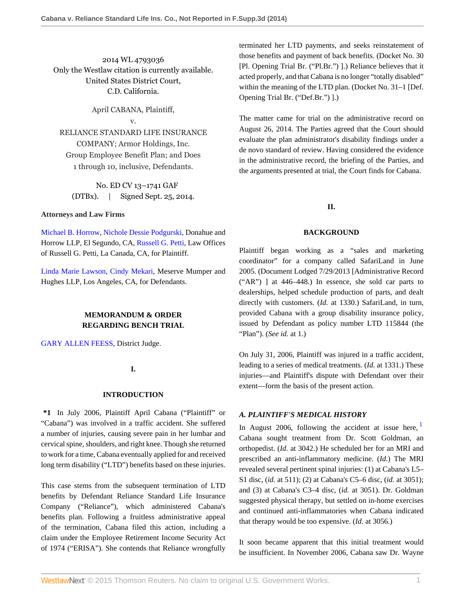2014 WL 4793036 Only the Westlaw citation is currently available. United States District Court, C.D. California.

April CABANA, Plaintiff,

## v.

RELIANCE STANDARD LIFE INSURANCE COMPANY; Armor Holdings, Inc. Group Employee Benefit Plan; and Does 1 through 10, inclusive, Defendants.

No. ED CV 13–1741 GAF (DTBx). | Signed Sept. 25, 2014.

## **Attorneys and Law Firms**

[Michael B. Horrow](http://www.westlaw.com/Link/Document/FullText?findType=h&pubNum=176284&cite=0331370701&originatingDoc=I2d22cd33465411e490d4edf60ce7d742&refType=RQ&originationContext=document&vr=3.0&rs=cblt1.0&transitionType=DocumentItem&contextData=(sc.Search)), [Nichole Dessie Podgurski,](http://www.westlaw.com/Link/Document/FullText?findType=h&pubNum=176284&cite=0398447501&originatingDoc=I2d22cd33465411e490d4edf60ce7d742&refType=RQ&originationContext=document&vr=3.0&rs=cblt1.0&transitionType=DocumentItem&contextData=(sc.Search)) Donahue and Horrow LLP, El Segundo, CA, [Russell G. Petti](http://www.westlaw.com/Link/Document/FullText?findType=h&pubNum=176284&cite=0318588001&originatingDoc=I2d22cd33465411e490d4edf60ce7d742&refType=RQ&originationContext=document&vr=3.0&rs=cblt1.0&transitionType=DocumentItem&contextData=(sc.Search)), Law Offices of Russell G. Petti, La Canada, CA, for Plaintiff.

[Linda Marie Lawson](http://www.westlaw.com/Link/Document/FullText?findType=h&pubNum=176284&cite=0120552901&originatingDoc=I2d22cd33465411e490d4edf60ce7d742&refType=RQ&originationContext=document&vr=3.0&rs=cblt1.0&transitionType=DocumentItem&contextData=(sc.Search)), [Cindy Mekari,](http://www.westlaw.com/Link/Document/FullText?findType=h&pubNum=176284&cite=0470613201&originatingDoc=I2d22cd33465411e490d4edf60ce7d742&refType=RQ&originationContext=document&vr=3.0&rs=cblt1.0&transitionType=DocumentItem&contextData=(sc.Search)) Meserve Mumper and Hughes LLP, Los Angeles, CA, for Defendants.

# **MEMORANDUM & ORDER REGARDING BENCH TRIAL**

[GARY ALLEN FEESS](http://www.westlaw.com/Link/Document/FullText?findType=h&pubNum=176284&cite=0167018001&originatingDoc=I2d22cd33465411e490d4edf60ce7d742&refType=RQ&originationContext=document&vr=3.0&rs=cblt1.0&transitionType=DocumentItem&contextData=(sc.Search)), District Judge.

## **I.**

## **INTRODUCTION**

**\*1** In July 2006, Plaintiff April Cabana ("Plaintiff" or "Cabana") was involved in a traffic accident. She suffered a number of injuries, causing severe pain in her lumbar and cervical spine, shoulders, and right knee. Though she returned to work for a time, Cabana eventually applied for and received long term disability ("LTD") benefits based on these injuries.

This case stems from the subsequent termination of LTD benefits by Defendant Reliance Standard Life Insurance Company ("Reliance"), which administered Cabana's benefits plan. Following a fruitless administrative appeal of the termination, Cabana filed this action, including a claim under the Employee Retirement Income Security Act of 1974 ("ERISA"). She contends that Reliance wrongfully

terminated her LTD payments, and seeks reinstatement of those benefits and payment of back benefits. (Docket No. 30 [Pl. Opening Trial Br. ("Pl.Br.") ].) Reliance believes that it acted properly, and that Cabana is no longer "totally disabled" within the meaning of the LTD plan. (Docket No. 31–1 [Def. Opening Trial Br. ("Def.Br.") ].)

The matter came for trial on the administrative record on August 26, 2014. The Parties agreed that the Court should evaluate the plan administrator's disability findings under a de novo standard of review. Having considered the evidence in the administrative record, the briefing of the Parties, and the arguments presented at trial, the Court finds for Cabana.

# **II.**

## **BACKGROUND**

Plaintiff began working as a "sales and marketing coordinator" for a company called SafariLand in June 2005. (Document Lodged 7/29/2013 [Administrative Record ("AR") ] at 446–448.) In essence, she sold car parts to dealerships, helped schedule production of parts, and dealt directly with customers. (*Id.* at 1330.) SafariLand, in turn, provided Cabana with a group disability insurance policy, issued by Defendant as policy number LTD 115844 (the "Plan"). (*See id.* at 1.)

On July 31, 2006, Plaintiff was injured in a traffic accident, leading to a series of medical treatments. (*Id.* at 1331.) These injuries—and Plaintiff's dispute with Defendant over their extent—form the basis of the present action.

## *A. PLAINTIFF'S MEDICAL HISTORY*

<span id="page-0-0"></span>In August 2006, following the accident at issue here,  $\frac{1}{1}$  $\frac{1}{1}$  $\frac{1}{1}$ Cabana sought treatment from Dr. Scott Goldman, an orthopedist. (*Id.* at 3042.) He scheduled her for an MRI and prescribed an anti-inflammatory medicine. (*Id.*) The MRI revealed several pertinent spinal injuries: (1) at Cabana's L5– S1 disc, (*id.* at 511); (2) at Cabana's C5–6 disc, (*id.* at 3051); and (3) at Cabana's C3–4 disc, (*id.* at 3051). Dr. Goldman suggested physical therapy, but settled on in-home exercises and continued anti-inflammatories when Cabana indicated that therapy would be too expensive. (*Id.* at 3056.)

It soon became apparent that this initial treatment would be insufficient. In November 2006, Cabana saw Dr. Wayne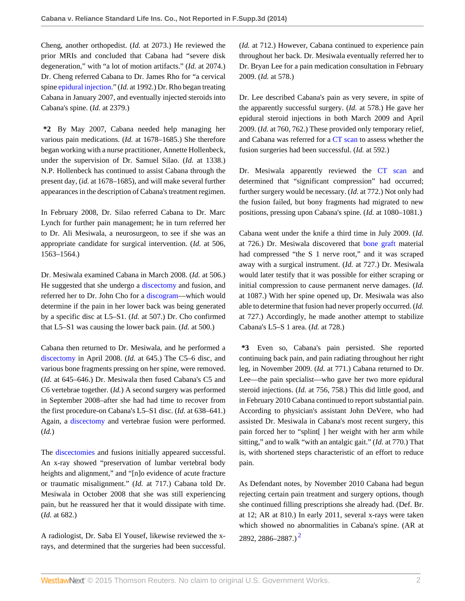Cheng, another orthopedist. (*Id.* at 2073.) He reviewed the prior MRIs and concluded that Cabana had "severe disk degeneration," with "a lot of motion artifacts." (*Id.* at 2074.) Dr. Cheng referred Cabana to Dr. James Rho for "a cervical spine [epidural injection](http://www.westlaw.com/Link/Document/FullText?entityType=mproc&entityId=Ic706ad30475411db9765f9243f53508a&originationContext=document&transitionType=DocumentItem&contextData=(sc.Default)&vr=3.0&rs=cblt1.0)." (*Id.* at 1992.) Dr. Rho began treating Cabana in January 2007, and eventually injected steroids into Cabana's spine. (*Id.* at 2379.)

**\*2** By May 2007, Cabana needed help managing her various pain medications. (*Id.* at 1678–1685.) She therefore began working with a nurse practitioner, Annette Hollenbeck, under the supervision of Dr. Samuel Silao. (*Id.* at 1338.) N.P. Hollenbeck has continued to assist Cabana through the present day, (*id.* at 1678–1685), and will make several further appearances in the description of Cabana's treatment regimen.

In February 2008, Dr. Silao referred Cabana to Dr. Marc Lynch for further pain management; he in turn referred her to Dr. Ali Mesiwala, a neurosurgeon, to see if she was an appropriate candidate for surgical intervention. (*Id.* at 506, 1563–1564.)

Dr. Mesiwala examined Cabana in March 2008. (*Id.* at 506.) He suggested that she undergo a [discectomy](http://www.westlaw.com/Link/Document/FullText?entityType=mproc&entityId=Ib778bdda475411db9765f9243f53508a&originationContext=document&transitionType=DocumentItem&contextData=(sc.Default)&vr=3.0&rs=cblt1.0) and fusion, and referred her to Dr. John Cho for a [discogram—](http://www.westlaw.com/Link/Document/FullText?entityType=mproc&entityId=Ic53a0361475411db9765f9243f53508a&originationContext=document&transitionType=DocumentItem&contextData=(sc.Default)&vr=3.0&rs=cblt1.0)which would determine if the pain in her lower back was being generated by a specific disc at L5–S1. (*Id.* at 507.) Dr. Cho confirmed that L5–S1 was causing the lower back pain. (*Id.* at 500.)

Cabana then returned to Dr. Mesiwala, and he performed a [discectomy](http://www.westlaw.com/Link/Document/FullText?entityType=mproc&entityId=Ib778bdda475411db9765f9243f53508a&originationContext=document&transitionType=DocumentItem&contextData=(sc.Default)&vr=3.0&rs=cblt1.0) in April 2008. (*Id.* at 645.) The C5–6 disc, and various bone fragments pressing on her spine, were removed. (*Id.* at 645–646.) Dr. Mesiwala then fused Cabana's C5 and C6 vertebrae together. (*Id.*) A second surgery was performed in September 2008–after she had had time to recover from the first procedure-on Cabana's L5–S1 disc. (*Id.* at 638–641.) Again, a [discectomy](http://www.westlaw.com/Link/Document/FullText?entityType=mproc&entityId=Ib778bdda475411db9765f9243f53508a&originationContext=document&transitionType=DocumentItem&contextData=(sc.Default)&vr=3.0&rs=cblt1.0) and vertebrae fusion were performed. (*Id.*)

The [discectomies](http://www.westlaw.com/Link/Document/FullText?entityType=mproc&entityId=Ib778bdda475411db9765f9243f53508a&originationContext=document&transitionType=DocumentItem&contextData=(sc.Default)&vr=3.0&rs=cblt1.0) and fusions initially appeared successful. An x-ray showed "preservation of lumbar vertebral body heights and alignment," and "[n]o evidence of acute fracture or traumatic misalignment." (*Id.* at 717.) Cabana told Dr. Mesiwala in October 2008 that she was still experiencing pain, but he reassured her that it would dissipate with time. (*Id.* at 682.)

A radiologist, Dr. Saba El Yousef, likewise reviewed the xrays, and determined that the surgeries had been successful. (*Id.* at 712.) However, Cabana continued to experience pain throughout her back. Dr. Mesiwala eventually referred her to Dr. Bryan Lee for a pain medication consultation in February 2009. (*Id.* at 578.)

Dr. Lee described Cabana's pain as very severe, in spite of the apparently successful surgery. (*Id.* at 578.) He gave her epidural steroid injections in both March 2009 and April 2009. (*Id.* at 760, 762.) These provided only temporary relief, and Cabana was referred for a [CT scan](http://www.westlaw.com/Link/Document/FullText?entityType=mproc&entityId=Iba53551b475411db9765f9243f53508a&originationContext=document&transitionType=DocumentItem&contextData=(sc.Default)&vr=3.0&rs=cblt1.0) to assess whether the fusion surgeries had been successful. (*Id.* at 592.)

Dr. Mesiwala apparently reviewed the [CT scan](http://www.westlaw.com/Link/Document/FullText?entityType=mproc&entityId=Iba53551b475411db9765f9243f53508a&originationContext=document&transitionType=DocumentItem&contextData=(sc.Default)&vr=3.0&rs=cblt1.0) and determined that "significant compression" had occurred; further surgery would be necessary. (*Id.* at 772.) Not only had the fusion failed, but bony fragments had migrated to new positions, pressing upon Cabana's spine. (*Id.* at 1080–1081.)

Cabana went under the knife a third time in July 2009. (*Id.* at 726.) Dr. Mesiwala discovered that [bone graft](http://www.westlaw.com/Link/Document/FullText?entityType=mproc&entityId=Ibd65773a475411db9765f9243f53508a&originationContext=document&transitionType=DocumentItem&contextData=(sc.Default)&vr=3.0&rs=cblt1.0) material had compressed "the S 1 nerve root," and it was scraped away with a surgical instrument. (*Id.* at 727.) Dr. Mesiwala would later testify that it was possible for either scraping or initial compression to cause permanent nerve damages. (*Id.* at 1087.) With her spine opened up, Dr. Mesiwala was also able to determine that fusion had never properly occurred. (*Id.* at 727.) Accordingly, he made another attempt to stabilize Cabana's L5–S 1 area. (*Id.* at 728.)

**\*3** Even so, Cabana's pain persisted. She reported continuing back pain, and pain radiating throughout her right leg, in November 2009. (*Id.* at 771.) Cabana returned to Dr. Lee—the pain specialist—who gave her two more epidural steroid injections. (*Id.* at 756, 758.) This did little good, and in February 2010 Cabana continued to report substantial pain. According to physician's assistant John DeVere, who had assisted Dr. Mesiwala in Cabana's most recent surgery, this pain forced her to "splint[ ] her weight with her arm while sitting," and to walk "with an antalgic gait." (*Id.* at 770.) That is, with shortened steps characteristic of an effort to reduce pain.

<span id="page-1-0"></span>As Defendant notes, by November 2010 Cabana had begun rejecting certain pain treatment and surgery options, though she continued filling prescriptions she already had. (Def. Br. at 12; AR at 810.) In early 2011, several x-rays were taken which showed no abnormalities in Cabana's spine. (AR at [2](#page-6-1)892, 2886–2887.)<sup>2</sup>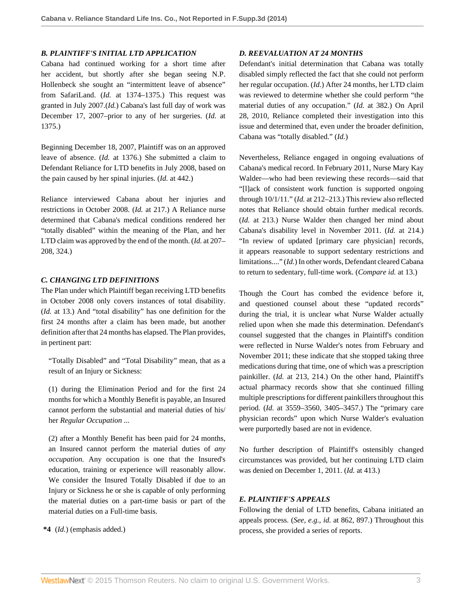### *B. PLAINTIFF'S INITIAL LTD APPLICATION*

Cabana had continued working for a short time after her accident, but shortly after she began seeing N.P. Hollenbeck she sought an "intermittent leave of absence" from SafariLand. (*Id.* at 1374–1375.) This request was granted in July 2007.(*Id.*) Cabana's last full day of work was December 17, 2007–prior to any of her surgeries. (*Id.* at 1375.)

Beginning December 18, 2007, Plaintiff was on an approved leave of absence. (*Id.* at 1376.) She submitted a claim to Defendant Reliance for LTD benefits in July 2008, based on the pain caused by her spinal injuries. (*Id.* at 442.)

Reliance interviewed Cabana about her injuries and restrictions in October 2008. (*Id.* at 217.) A Reliance nurse determined that Cabana's medical conditions rendered her "totally disabled" within the meaning of the Plan, and her LTD claim was approved by the end of the month. (*Id.* at 207– 208, 324.)

## *C. CHANGING LTD DEFINITIONS*

The Plan under which Plaintiff began receiving LTD benefits in October 2008 only covers instances of total disability. (*Id.* at 13.) And "total disability" has one definition for the first 24 months after a claim has been made, but another definition after that 24 months has elapsed. The Plan provides, in pertinent part:

"Totally Disabled" and "Total Disability" mean, that as a result of an Injury or Sickness:

(1) during the Elimination Period and for the first 24 months for which a Monthly Benefit is payable, an Insured cannot perform the substantial and material duties of his/ her *Regular Occupation* ...

(2) after a Monthly Benefit has been paid for 24 months, an Insured cannot perform the material duties of *any occupation.* Any occupation is one that the Insured's education, training or experience will reasonably allow. We consider the Insured Totally Disabled if due to an Injury or Sickness he or she is capable of only performing the material duties on a part-time basis or part of the material duties on a Full-time basis.

**\*4** (*Id.*) (emphasis added.)

### *D. REEVALUATION AT 24 MONTHS*

Defendant's initial determination that Cabana was totally disabled simply reflected the fact that she could not perform her regular occupation. (*Id.*) After 24 months, her LTD claim was reviewed to determine whether she could perform "the material duties of any occupation." (*Id.* at 382.) On April 28, 2010, Reliance completed their investigation into this issue and determined that, even under the broader definition, Cabana was "totally disabled." (*Id.*)

Nevertheless, Reliance engaged in ongoing evaluations of Cabana's medical record. In February 2011, Nurse Mary Kay Walder—who had been reviewing these records—said that "[l]ack of consistent work function is supported ongoing through 10/1/11." (*Id.* at 212–213.) This review also reflected notes that Reliance should obtain further medical records. (*Id.* at 213.) Nurse Walder then changed her mind about Cabana's disability level in November 2011. (*Id.* at 214.) "In review of updated [primary care physician] records, it appears reasonable to support sedentary restrictions and limitations...." (*Id.*) In other words, Defendant cleared Cabana to return to sedentary, full-time work. (*Compare id.* at 13.)

Though the Court has combed the evidence before it, and questioned counsel about these "updated records" during the trial, it is unclear what Nurse Walder actually relied upon when she made this determination. Defendant's counsel suggested that the changes in Plaintiff's condition were reflected in Nurse Walder's notes from February and November 2011; these indicate that she stopped taking three medications during that time, one of which was a prescription painkiller. (*Id.* at 213, 214.) On the other hand, Plaintiff's actual pharmacy records show that she continued filling multiple prescriptions for different painkillers throughout this period. (*Id.* at 3559–3560, 3405–3457.) The "primary care physician records" upon which Nurse Walder's evaluation were purportedly based are not in evidence.

No further description of Plaintiff's ostensibly changed circumstances was provided, but her continuing LTD claim was denied on December 1, 2011. (*Id.* at 413.)

## *E. PLAINTIFF'S APPEALS*

Following the denial of LTD benefits, Cabana initiated an appeals process. (*See, e.g., id.* at 862, 897.) Throughout this process, she provided a series of reports.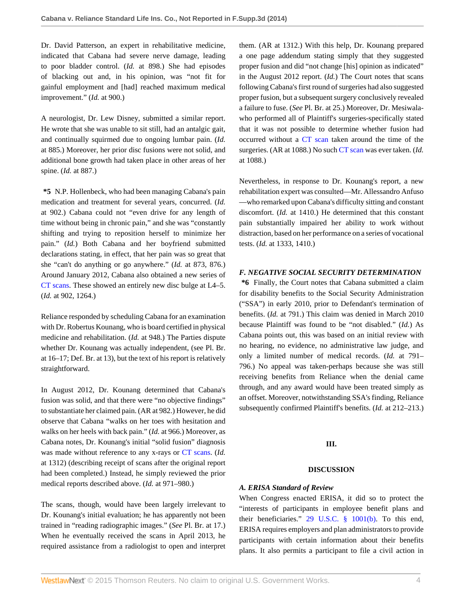Dr. David Patterson, an expert in rehabilitative medicine, indicated that Cabana had severe nerve damage, leading to poor bladder control. (*Id.* at 898.) She had episodes of blacking out and, in his opinion, was "not fit for gainful employment and [had] reached maximum medical improvement." (*Id.* at 900.)

A neurologist, Dr. Lew Disney, submitted a similar report. He wrote that she was unable to sit still, had an antalgic gait, and continually squirmed due to ongoing lumbar pain. (*Id.* at 885.) Moreover, her prior disc fusions were not solid, and additional bone growth had taken place in other areas of her spine. (*Id.* at 887.)

**\*5** N.P. Hollenbeck, who had been managing Cabana's pain medication and treatment for several years, concurred. (*Id.* at 902.) Cabana could not "even drive for any length of time without being in chronic pain," and she was "constantly shifting and trying to reposition herself to minimize her pain." (*Id.*) Both Cabana and her boyfriend submitted declarations stating, in effect, that her pain was so great that she "can't do anything or go anywhere." (*Id.* at 873, 876.) Around January 2012, Cabana also obtained a new series of [CT scans](http://www.westlaw.com/Link/Document/FullText?entityType=mproc&entityId=Iba53551b475411db9765f9243f53508a&originationContext=document&transitionType=DocumentItem&contextData=(sc.Default)&vr=3.0&rs=cblt1.0). These showed an entirely new disc bulge at L4–5. (*Id.* at 902, 1264.)

Reliance responded by scheduling Cabana for an examination with Dr. Robertus Kounang, who is board certified in physical medicine and rehabilitation. (*Id.* at 948.) The Parties dispute whether Dr. Kounang was actually independent, (see Pl. Br. at 16–17; Def. Br. at 13), but the text of his report is relatively straightforward.

In August 2012, Dr. Kounang determined that Cabana's fusion was solid, and that there were "no objective findings" to substantiate her claimed pain. (AR at 982.) However, he did observe that Cabana "walks on her toes with hesitation and walks on her heels with back pain." (*Id.* at 966.) Moreover, as Cabana notes, Dr. Kounang's initial "solid fusion" diagnosis was made without reference to any x-rays or [CT scans](http://www.westlaw.com/Link/Document/FullText?entityType=mproc&entityId=Iba53551b475411db9765f9243f53508a&originationContext=document&transitionType=DocumentItem&contextData=(sc.Default)&vr=3.0&rs=cblt1.0). (*Id.* at 1312) (describing receipt of scans after the original report had been completed.) Instead, he simply reviewed the prior medical reports described above. (*Id.* at 971–980.)

The scans, though, would have been largely irrelevant to Dr. Kounang's initial evaluation; he has apparently not been trained in "reading radiographic images." (*See* Pl. Br. at 17.) When he eventually received the scans in April 2013, he required assistance from a radiologist to open and interpret them. (AR at 1312.) With this help, Dr. Kounang prepared a one page addendum stating simply that they suggested proper fusion and did "not change [his] opinion as indicated" in the August 2012 report. (*Id.*) The Court notes that scans following Cabana's first round of surgeries had also suggested proper fusion, but a subsequent surgery conclusively revealed a failure to fuse. (*See* Pl. Br. at 25.) Moreover, Dr. Mesiwalawho performed all of Plaintiff's surgeries-specifically stated that it was not possible to determine whether fusion had occurred without a [CT scan](http://www.westlaw.com/Link/Document/FullText?entityType=mproc&entityId=Iba53551b475411db9765f9243f53508a&originationContext=document&transitionType=DocumentItem&contextData=(sc.Default)&vr=3.0&rs=cblt1.0) taken around the time of the surgeries. (AR at 1088.) No such [CT scan](http://www.westlaw.com/Link/Document/FullText?entityType=mproc&entityId=Iba53551b475411db9765f9243f53508a&originationContext=document&transitionType=DocumentItem&contextData=(sc.Default)&vr=3.0&rs=cblt1.0) was ever taken. (*Id.* at 1088.)

Nevertheless, in response to Dr. Kounang's report, a new rehabilitation expert was consulted—Mr. Allessandro Anfuso —who remarked upon Cabana's difficulty sitting and constant discomfort. (*Id.* at 1410.) He determined that this constant pain substantially impaired her ability to work without distraction, based on her performance on a series of vocational tests. (*Id.* at 1333, 1410.)

## *F. NEGATIVE SOCIAL SECURITY DETERMINATION*

**\*6** Finally, the Court notes that Cabana submitted a claim for disability benefits to the Social Security Administration ("SSA") in early 2010, prior to Defendant's termination of benefits. (*Id.* at 791.) This claim was denied in March 2010 because Plaintiff was found to be "not disabled." (*Id.*) As Cabana points out, this was based on an initial review with no hearing, no evidence, no administrative law judge, and only a limited number of medical records. (*Id.* at 791– 796.) No appeal was taken-perhaps because she was still receiving benefits from Reliance when the denial came through, and any award would have been treated simply as an offset. Moreover, notwithstanding SSA's finding, Reliance subsequently confirmed Plaintiff's benefits. (*Id.* at 212–213.)

## **III.**

## **DISCUSSION**

## *A. ERISA Standard of Review*

When Congress enacted ERISA, it did so to protect the "interests of participants in employee benefit plans and their beneficiaries." [29 U.S.C. § 1001\(b\).](http://www.westlaw.com/Link/Document/FullText?findType=L&pubNum=1000546&cite=29USCAS1001&originatingDoc=I2d22cd33465411e490d4edf60ce7d742&refType=RB&originationContext=document&vr=3.0&rs=cblt1.0&transitionType=DocumentItem&contextData=(sc.Search)#co_pp_a83b000018c76) To this end, ERISA requires employers and plan administrators to provide participants with certain information about their benefits plans. It also permits a participant to file a civil action in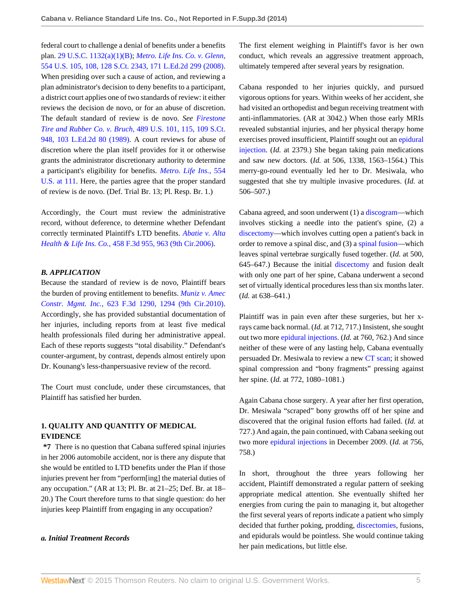federal court to challenge a denial of benefits under a benefits plan. [29 U.S.C. 1132\(a\)\(1\)\(B\)](http://www.westlaw.com/Link/Document/FullText?findType=L&pubNum=1000546&cite=29USCAS1132&originatingDoc=I2d22cd33465411e490d4edf60ce7d742&refType=RB&originationContext=document&vr=3.0&rs=cblt1.0&transitionType=DocumentItem&contextData=(sc.Search)#co_pp_50660000823d1); *[Metro. Life Ins. Co. v. Glenn,](http://www.westlaw.com/Link/Document/FullText?findType=Y&serNum=2016336257&pubNum=0000708&originatingDoc=I2d22cd33465411e490d4edf60ce7d742&refType=RP&originationContext=document&vr=3.0&rs=cblt1.0&transitionType=DocumentItem&contextData=(sc.Search))* [554 U.S. 105, 108, 128 S.Ct. 2343, 171 L.Ed.2d 299 \(2008\)](http://www.westlaw.com/Link/Document/FullText?findType=Y&serNum=2016336257&pubNum=0000708&originatingDoc=I2d22cd33465411e490d4edf60ce7d742&refType=RP&originationContext=document&vr=3.0&rs=cblt1.0&transitionType=DocumentItem&contextData=(sc.Search)). When presiding over such a cause of action, and reviewing a plan administrator's decision to deny benefits to a participant, a district court applies one of two standards of review: it either reviews the decision de novo, or for an abuse of discretion. The default standard of review is de novo. *See [Firestone](http://www.westlaw.com/Link/Document/FullText?findType=Y&serNum=1989026578&pubNum=0000708&originatingDoc=I2d22cd33465411e490d4edf60ce7d742&refType=RP&originationContext=document&vr=3.0&rs=cblt1.0&transitionType=DocumentItem&contextData=(sc.Search)) [Tire and Rubber Co. v. Bruch,](http://www.westlaw.com/Link/Document/FullText?findType=Y&serNum=1989026578&pubNum=0000708&originatingDoc=I2d22cd33465411e490d4edf60ce7d742&refType=RP&originationContext=document&vr=3.0&rs=cblt1.0&transitionType=DocumentItem&contextData=(sc.Search))* 489 U.S. 101, 115, 109 S.Ct. [948, 103 L.Ed.2d 80 \(1989\)](http://www.westlaw.com/Link/Document/FullText?findType=Y&serNum=1989026578&pubNum=0000708&originatingDoc=I2d22cd33465411e490d4edf60ce7d742&refType=RP&originationContext=document&vr=3.0&rs=cblt1.0&transitionType=DocumentItem&contextData=(sc.Search)). A court reviews for abuse of discretion where the plan itself provides for it or otherwise grants the administrator discretionary authority to determine a participant's eligibility for benefits. *[Metro. Life Ins.,](http://www.westlaw.com/Link/Document/FullText?findType=Y&serNum=2016336257&pubNum=0000780&originatingDoc=I2d22cd33465411e490d4edf60ce7d742&refType=RP&fi=co_pp_sp_780_111&originationContext=document&vr=3.0&rs=cblt1.0&transitionType=DocumentItem&contextData=(sc.Search)#co_pp_sp_780_111)* 554 [U.S. at 111](http://www.westlaw.com/Link/Document/FullText?findType=Y&serNum=2016336257&pubNum=0000780&originatingDoc=I2d22cd33465411e490d4edf60ce7d742&refType=RP&fi=co_pp_sp_780_111&originationContext=document&vr=3.0&rs=cblt1.0&transitionType=DocumentItem&contextData=(sc.Search)#co_pp_sp_780_111). Here, the parties agree that the proper standard of review is de novo. (Def. Trial Br. 13; Pl. Resp. Br. 1.)

Accordingly, the Court must review the administrative record, without deference, to determine whether Defendant correctly terminated Plaintiff's LTD benefits. *[Abatie v. Alta](http://www.westlaw.com/Link/Document/FullText?findType=Y&serNum=2009728490&pubNum=0000506&originatingDoc=I2d22cd33465411e490d4edf60ce7d742&refType=RP&fi=co_pp_sp_506_963&originationContext=document&vr=3.0&rs=cblt1.0&transitionType=DocumentItem&contextData=(sc.Search)#co_pp_sp_506_963) Health & Life Ins. Co.,* [458 F.3d 955, 963 \(9th Cir.2006\)](http://www.westlaw.com/Link/Document/FullText?findType=Y&serNum=2009728490&pubNum=0000506&originatingDoc=I2d22cd33465411e490d4edf60ce7d742&refType=RP&fi=co_pp_sp_506_963&originationContext=document&vr=3.0&rs=cblt1.0&transitionType=DocumentItem&contextData=(sc.Search)#co_pp_sp_506_963).

#### *B. APPLICATION*

Because the standard of review is de novo, Plaintiff bears the burden of proving entitlement to benefits. *[Muniz v. Amec](http://www.westlaw.com/Link/Document/FullText?findType=Y&serNum=2023501190&pubNum=0000506&originatingDoc=I2d22cd33465411e490d4edf60ce7d742&refType=RP&fi=co_pp_sp_506_1294&originationContext=document&vr=3.0&rs=cblt1.0&transitionType=DocumentItem&contextData=(sc.Search)#co_pp_sp_506_1294) Constr. Mgmt. Inc.,* [623 F.3d 1290, 1294 \(9th Cir.2010\)](http://www.westlaw.com/Link/Document/FullText?findType=Y&serNum=2023501190&pubNum=0000506&originatingDoc=I2d22cd33465411e490d4edf60ce7d742&refType=RP&fi=co_pp_sp_506_1294&originationContext=document&vr=3.0&rs=cblt1.0&transitionType=DocumentItem&contextData=(sc.Search)#co_pp_sp_506_1294). Accordingly, she has provided substantial documentation of her injuries, including reports from at least five medical health professionals filed during her administrative appeal. Each of these reports suggests "total disability." Defendant's counter-argument, by contrast, depends almost entirely upon Dr. Kounang's less-thanpersuasive review of the record.

The Court must conclude, under these circumstances, that Plaintiff has satisfied her burden.

## **1. QUALITY AND QUANTITY OF MEDICAL EVIDENCE**

**\*7** There is no question that Cabana suffered spinal injuries in her 2006 automobile accident, nor is there any dispute that she would be entitled to LTD benefits under the Plan if those injuries prevent her from "perform[ing] the material duties of any occupation." (AR at 13; Pl. Br. at 21–25; Def. Br. at 18– 20.) The Court therefore turns to that single question: do her injuries keep Plaintiff from engaging in any occupation?

### *a. Initial Treatment Records*

The first element weighing in Plaintiff's favor is her own conduct, which reveals an aggressive treatment approach, ultimately tempered after several years by resignation.

Cabana responded to her injuries quickly, and pursued vigorous options for years. Within weeks of her accident, she had visited an orthopedist and begun receiving treatment with anti-inflammatories. (AR at 3042.) When those early MRIs revealed substantial injuries, and her physical therapy home exercises proved insufficient, Plaintiff sought out an [epidural](http://www.westlaw.com/Link/Document/FullText?entityType=mproc&entityId=Ic706ad30475411db9765f9243f53508a&originationContext=document&transitionType=DocumentItem&contextData=(sc.Default)&vr=3.0&rs=cblt1.0) [injection](http://www.westlaw.com/Link/Document/FullText?entityType=mproc&entityId=Ic706ad30475411db9765f9243f53508a&originationContext=document&transitionType=DocumentItem&contextData=(sc.Default)&vr=3.0&rs=cblt1.0). (*Id.* at 2379.) She began taking pain medications and saw new doctors. (*Id.* at 506, 1338, 1563–1564.) This merry-go-round eventually led her to Dr. Mesiwala, who suggested that she try multiple invasive procedures. (*Id.* at 506–507.)

Cabana agreed, and soon underwent (1) a [discogram—](http://www.westlaw.com/Link/Document/FullText?entityType=mproc&entityId=Ic53a0361475411db9765f9243f53508a&originationContext=document&transitionType=DocumentItem&contextData=(sc.Default)&vr=3.0&rs=cblt1.0)which involves sticking a needle into the patient's spine, (2) a [discectomy—](http://www.westlaw.com/Link/Document/FullText?entityType=mproc&entityId=Ib778bdda475411db9765f9243f53508a&originationContext=document&transitionType=DocumentItem&contextData=(sc.Default)&vr=3.0&rs=cblt1.0)which involves cutting open a patient's back in order to remove a spinal disc, and (3) a [spinal fusion—](http://www.westlaw.com/Link/Document/FullText?entityType=mproc&entityId=Ic304acbe475411db9765f9243f53508a&originationContext=document&transitionType=DocumentItem&contextData=(sc.Default)&vr=3.0&rs=cblt1.0)which leaves spinal vertebrae surgically fused together. (*Id.* at 500, 645–647.) Because the initial [discectomy](http://www.westlaw.com/Link/Document/FullText?entityType=mproc&entityId=Ib778bdda475411db9765f9243f53508a&originationContext=document&transitionType=DocumentItem&contextData=(sc.Default)&vr=3.0&rs=cblt1.0) and fusion dealt with only one part of her spine, Cabana underwent a second set of virtually identical procedures less than six months later. (*Id.* at 638–641.)

Plaintiff was in pain even after these surgeries, but her xrays came back normal. (*Id.* at 712, 717.) Insistent, she sought out two more [epidural injections](http://www.westlaw.com/Link/Document/FullText?entityType=mproc&entityId=Ic706ad30475411db9765f9243f53508a&originationContext=document&transitionType=DocumentItem&contextData=(sc.Default)&vr=3.0&rs=cblt1.0). (*Id.* at 760, 762.) And since neither of these were of any lasting help, Cabana eventually persuaded Dr. Mesiwala to review a new [CT scan](http://www.westlaw.com/Link/Document/FullText?entityType=mproc&entityId=Iba53551b475411db9765f9243f53508a&originationContext=document&transitionType=DocumentItem&contextData=(sc.Default)&vr=3.0&rs=cblt1.0); it showed spinal compression and "bony fragments" pressing against her spine. (*Id.* at 772, 1080–1081.)

Again Cabana chose surgery. A year after her first operation, Dr. Mesiwala "scraped" bony growths off of her spine and discovered that the original fusion efforts had failed. (*Id.* at 727.) And again, the pain continued, with Cabana seeking out two more [epidural injections](http://www.westlaw.com/Link/Document/FullText?entityType=mproc&entityId=Ic706ad30475411db9765f9243f53508a&originationContext=document&transitionType=DocumentItem&contextData=(sc.Default)&vr=3.0&rs=cblt1.0) in December 2009. (*Id.* at 756, 758.)

In short, throughout the three years following her accident, Plaintiff demonstrated a regular pattern of seeking appropriate medical attention. She eventually shifted her energies from curing the pain to managing it, but altogether the first several years of reports indicate a patient who simply decided that further poking, prodding, [discectomies,](http://www.westlaw.com/Link/Document/FullText?entityType=mproc&entityId=Ib778bdda475411db9765f9243f53508a&originationContext=document&transitionType=DocumentItem&contextData=(sc.Default)&vr=3.0&rs=cblt1.0) fusions, and epidurals would be pointless. She would continue taking her pain medications, but little else.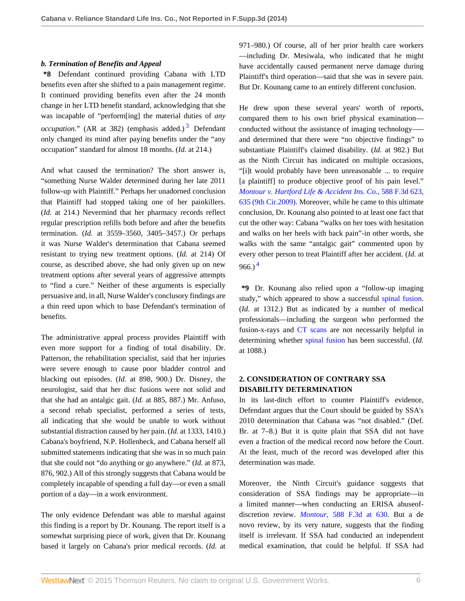### *b. Termination of Benefits and Appeal*

**\*8** Defendant continued providing Cabana with LTD benefits even after she shifted to a pain management regime. It continued providing benefits even after the 24 month change in her LTD benefit standard, acknowledging that she was incapable of "perform[ing] the material duties of *any occupation.*" (AR at [3](#page-6-2)82) (emphasis added.)<sup>3</sup> Defendant only changed its mind after paying benefits under the "any occupation" standard for almost 18 months. (*Id.* at 214.)

And what caused the termination? The short answer is, "something Nurse Walder determined during her late 2011 follow-up with Plaintiff." Perhaps her unadorned conclusion that Plaintiff had stopped taking one of her painkillers. (*Id.* at 214.) Nevermind that her pharmacy records reflect regular prescription refills both before and after the benefits termination. (*Id.* at 3559–3560, 3405–3457.) Or perhaps it was Nurse Walder's determination that Cabana seemed resistant to trying new treatment options. (*Id.* at 214) Of course, as described above, she had only given up on new treatment options after several years of aggressive attempts to "find a cure." Neither of these arguments is especially persuasive and, in all, Nurse Walder's conclusory findings are a thin reed upon which to base Defendant's termination of benefits.

The administrative appeal process provides Plaintiff with even more support for a finding of total disability. Dr. Patterson, the rehabilitation specialist, said that her injuries were severe enough to cause poor bladder control and blacking out episodes. (*Id.* at 898, 900.) Dr. Disney, the neurologist, said that her disc fusions were not solid and that she had an antalgic gait. (*Id.* at 885, 887.) Mr. Anfuso, a second rehab specialist, performed a series of tests, all indicating that she would be unable to work without substantial distraction caused by her pain. (*Id.* at 1333, 1410.) Cabana's boyfriend, N.P. Hollenbeck, and Cabana herself all submitted statements indicating that she was in so much pain that she could not "do anything or go anywhere." (*Id.* at 873, 876, 902.) All of this strongly suggests that Cabana would be completely incapable of spending a full day—or even a small portion of a day—in a work environment.

The only evidence Defendant was able to marshal against this finding is a report by Dr. Kounang. The report itself is a somewhat surprising piece of work, given that Dr. Kounang based it largely on Cabana's prior medical records. (*Id.* at 971–980.) Of course, all of her prior health care workers —including Dr. Mesiwala, who indicated that he might have accidentally caused permanent nerve damage during Plaintiff's third operation—said that she was in severe pain. But Dr. Kounang came to an entirely different conclusion.

<span id="page-5-0"></span>He drew upon these several years' worth of reports, compared them to his own brief physical examination conducted without the assistance of imaging technology––– and determined that there were "no objective findings" to substantiate Plaintiff's claimed disability. (*Id.* at 982.) But as the Ninth Circuit has indicated on multiple occasions, "[i]t would probably have been unreasonable ... to require [a plaintiff] to produce objective proof of his pain level." *[Montour v. Hartford Life & Accident Ins. Co.,](http://www.westlaw.com/Link/Document/FullText?findType=Y&serNum=2020444293&pubNum=0000506&originatingDoc=I2d22cd33465411e490d4edf60ce7d742&refType=RP&fi=co_pp_sp_506_635&originationContext=document&vr=3.0&rs=cblt1.0&transitionType=DocumentItem&contextData=(sc.Search)#co_pp_sp_506_635)* 588 F.3d 623, [635 \(9th Cir.2009\)](http://www.westlaw.com/Link/Document/FullText?findType=Y&serNum=2020444293&pubNum=0000506&originatingDoc=I2d22cd33465411e490d4edf60ce7d742&refType=RP&fi=co_pp_sp_506_635&originationContext=document&vr=3.0&rs=cblt1.0&transitionType=DocumentItem&contextData=(sc.Search)#co_pp_sp_506_635). Moreover, while he came to this ultimate conclusion, Dr. Kounang also pointed to at least one fact that cut the other way: Cabana "walks on her toes with hesitation and walks on her heels with back pain"-in other words, she walks with the same "antalgic gait" commented upon by every other person to treat Plaintiff after her accident. (*Id.* at  $966.$ <sup>[4](#page-6-3)</sup>

<span id="page-5-1"></span>**\*9** Dr. Kounang also relied upon a "follow-up imaging study," which appeared to show a successful [spinal fusion.](http://www.westlaw.com/Link/Document/FullText?entityType=mproc&entityId=Ic304acbe475411db9765f9243f53508a&originationContext=document&transitionType=DocumentItem&contextData=(sc.Default)&vr=3.0&rs=cblt1.0) (*Id.* at 1312.) But as indicated by a number of medical professionals—including the surgeon who performed the fusion-x-rays and [CT scans](http://www.westlaw.com/Link/Document/FullText?entityType=mproc&entityId=Iba53551b475411db9765f9243f53508a&originationContext=document&transitionType=DocumentItem&contextData=(sc.Default)&vr=3.0&rs=cblt1.0) are not necessarily helpful in determining whether [spinal fusion](http://www.westlaw.com/Link/Document/FullText?entityType=mproc&entityId=Ic304acbe475411db9765f9243f53508a&originationContext=document&transitionType=DocumentItem&contextData=(sc.Default)&vr=3.0&rs=cblt1.0) has been successful. (*Id.* at 1088.)

# **2. CONSIDERATION OF CONTRARY SSA DISABILITY DETERMINATION**

In its last-ditch effort to counter Plaintiff's evidence, Defendant argues that the Court should be guided by SSA's 2010 determination that Cabana was "not disabled." (Def. Br. at 7–8.) But it is quite plain that SSA did not have even a fraction of the medical record now before the Court. At the least, much of the record was developed after this determination was made.

Moreover, the Ninth Circuit's guidance suggests that consideration of SSA findings may be appropriate—in a limited manner—when conducting an ERISA abuseofdiscretion review. *Montour,* [588 F.3d at 630](http://www.westlaw.com/Link/Document/FullText?findType=Y&serNum=2020444293&pubNum=0000506&originatingDoc=I2d22cd33465411e490d4edf60ce7d742&refType=RP&fi=co_pp_sp_506_630&originationContext=document&vr=3.0&rs=cblt1.0&transitionType=DocumentItem&contextData=(sc.Search)#co_pp_sp_506_630). But a de novo review, by its very nature, suggests that the finding itself is irrelevant. If SSA had conducted an independent medical examination, that could be helpful. If SSA had